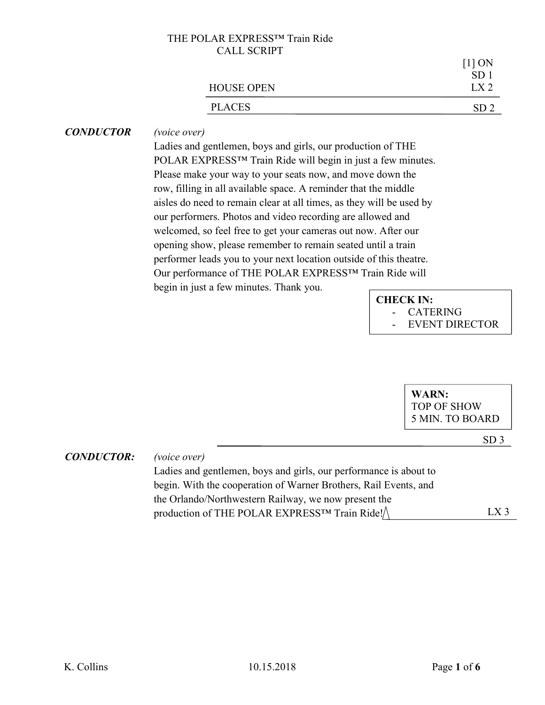| $[1]$ ON<br>$SD^{\circ}$ |
|--------------------------|
| IX <sub>2</sub>          |
| SD <sub>2</sub>          |
|                          |

## CONDUCTOR (voice over)

Ladies and gentlemen, boys and girls, our production of THE POLAR EXPRESS™ Train Ride will begin in just a few minutes. Please make your way to your seats now, and move down the row, filling in all available space. A reminder that the middle aisles do need to remain clear at all times, as they will be used by our performers. Photos and video recording are allowed and welcomed, so feel free to get your cameras out now. After our opening show, please remember to remain seated until a train performer leads you to your next location outside of this theatre. Our performance of THE POLAR EXPRESS™ Train Ride will begin in just a few minutes. Thank you.

# CHECK IN: **CATERING**

EVENT DIRECTOR

WARN: TOP OF SHOW 5 MIN. TO BOARD

SD 3

 $LX_3$ 

### CONDUCTOR: (voice over)

Ladies and gentlemen, boys and girls, our performance is about to begin. With the cooperation of Warner Brothers, Rail Events, and the Orlando/Northwestern Railway, we now present the production of THE POLAR EXPRESS™ Train Ride!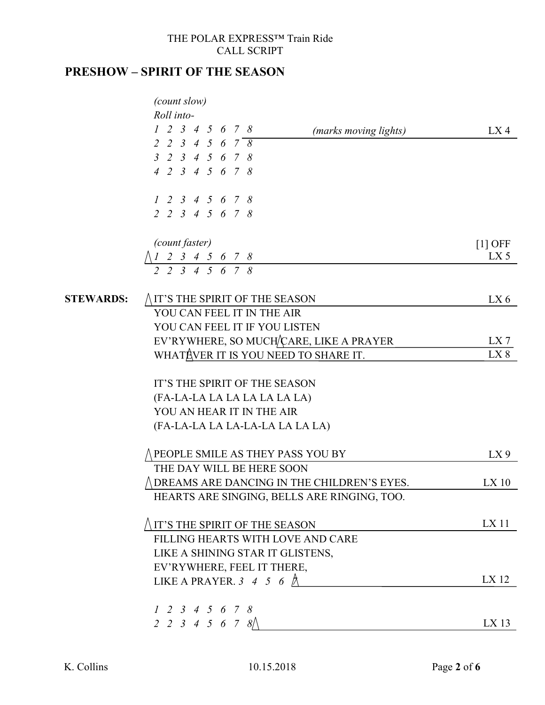# PRESHOW – SPIRIT OF THE SEASON

|                  | (count slow)                                                                                          |                 |
|------------------|-------------------------------------------------------------------------------------------------------|-----------------|
|                  | Roll into-<br>$1$ 2 3 4 5 6 7 8                                                                       |                 |
|                  | (marks moving lights)<br>2 2 3 4 5 6 7 $\overline{8}$                                                 | LX4             |
|                  | 3 2 3 4 5 6 7 8                                                                                       |                 |
|                  | 4 2 3 4 5 6 7 8                                                                                       |                 |
|                  |                                                                                                       |                 |
|                  | 1 2 3 4 5 6 7 8                                                                                       |                 |
|                  | 2 2 3 4 5 6 7 8                                                                                       |                 |
|                  |                                                                                                       |                 |
|                  | <i>(count faster)</i>                                                                                 | $[1]$ OFF       |
|                  |                                                                                                       | $LX$ 5          |
|                  | $\begin{array}{ccccccccc} 1 & 2 & 3 & 4 & 5 & 6 & 7 & 8 \\ 2 & 2 & 3 & 4 & 5 & 6 & 7 & 8 \end{array}$ |                 |
| <b>STEWARDS:</b> | IT'S THE SPIRIT OF THE SEASON                                                                         | LX 6            |
|                  | YOU CAN FEEL IT IN THE AIR                                                                            |                 |
|                  | YOU CAN FEEL IT IF YOU LISTEN                                                                         |                 |
|                  | EV'RYWHERE, SO MUCH/CARE, LIKE A PRAYER                                                               | LX 7            |
|                  | WHATAVER IT IS YOU NEED TO SHARE IT.                                                                  | LX8             |
|                  |                                                                                                       |                 |
|                  | IT'S THE SPIRIT OF THE SEASON                                                                         |                 |
|                  | (FA-LA-LA LA LA LA LA LA LA)                                                                          |                 |
|                  | YOU AN HEAR IT IN THE AIR                                                                             |                 |
|                  | (FA-LA-LA LA LA-LA-LA LA LA LA)                                                                       |                 |
|                  | PEOPLE SMILE AS THEY PASS YOU BY                                                                      | LX <sub>9</sub> |
|                  | THE DAY WILL BE HERE SOON                                                                             |                 |
|                  | DREAMS ARE DANCING IN THE CHILDREN'S EYES.                                                            | $LX$ 10         |
|                  | HEARTS ARE SINGING, BELLS ARE RINGING, TOO.                                                           |                 |
|                  | IT'S THE SPIRIT OF THE SEASON                                                                         | $LX$ 11         |
|                  | FILLING HEARTS WITH LOVE AND CARE                                                                     |                 |
|                  | LIKE A SHINING STAR IT GLISTENS,                                                                      |                 |
|                  | EV'RYWHERE, FEEL IT THERE,                                                                            |                 |
|                  | LIKE A PRAYER. 3 4 5 6 $\land$                                                                        | LX 12           |
|                  | 1 2 3 4 5 6 7 8                                                                                       |                 |
|                  | 2 2 3 4 5 6 7 8                                                                                       | $LX$ 13         |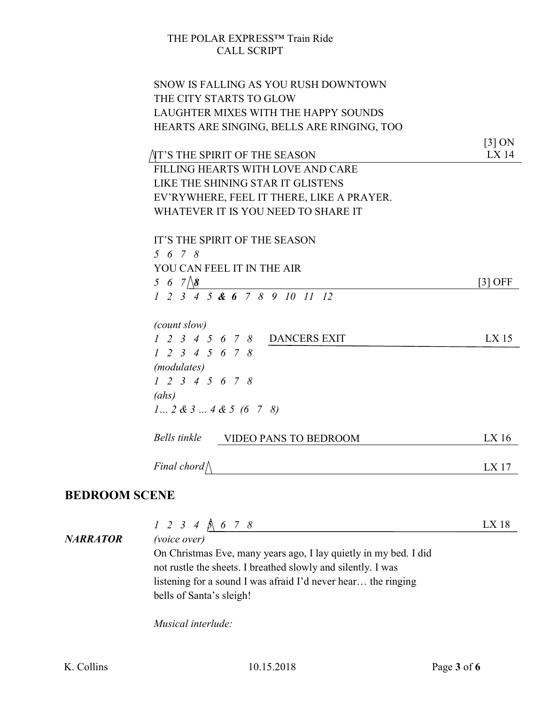| SNOW IS FALLING AS YOU RUSH DOWNTOWN                   |                     |
|--------------------------------------------------------|---------------------|
| THE CITY STARTS TO GLOW                                |                     |
| LAUGHTER MIXES WITH THE HAPPY SOUNDS                   |                     |
| HEARTS ARE SINGING, BELLS ARE RINGING, TOO             |                     |
|                                                        | $\left[3\right]$ ON |
| AT'S THE SPIRIT OF THE SEASON                          | $LX$ 14             |
| FILLING HEARTS WITH LOVE AND CARE                      |                     |
| LIKE THE SHINING STAR IT GLISTENS                      |                     |
| EV'RYWHERE, FEEL IT THERE, LIKE A PRAYER.              |                     |
| WHATEVER IT IS YOU NEED TO SHARE IT                    |                     |
|                                                        |                     |
| IT'S THE SPIRIT OF THE SEASON                          |                     |
| 5 6 7 8                                                |                     |
| YOU CAN FEEL IT IN THE AIR                             |                     |
| 5 6 7 $\sqrt{8}$                                       | [3] OFF             |
| $1 \t2 \t3 \t4 \t5 \t4 \t6 \t7 \t8 \t9 \t10 \t11 \t12$ |                     |
|                                                        |                     |
| (count slow)                                           |                     |
| 1 2 3 4 5 6 7 8 DANCERS EXIT                           | $LX$ 15             |
| $1 \t2 \t3 \t4 \t5 \t6 \t7 \t8$                        |                     |
| <i>(modulates)</i>                                     |                     |
| $1 \t2 \t3 \t4 \t5 \t6 \t7 \t8$                        |                     |
| (ahs)                                                  |                     |
| $1 2 \& 3 4 \& 5 (6 7 8)$                              |                     |
|                                                        |                     |
| Bells tinkle<br><b>VIDEO PANS TO BEDROOM</b>           | $LX$ 16             |
|                                                        |                     |
| Final chord $\wedge$                                   | LX 17               |

# BEDROOM SCENE

|          | $1\ 2\ 3\ 4\ 6\ 7\ 8$                                            | LX 18 |
|----------|------------------------------------------------------------------|-------|
| NARRATOR | <i>(voice over)</i>                                              |       |
|          | On Christmas Eve, many years ago, I lay quietly in my bed. I did |       |
|          | not rustle the sheets. I breathed slowly and silently. I was     |       |
|          | listening for a sound I was afraid I'd never hear the ringing    |       |
|          | bells of Santa's sleigh!                                         |       |
|          | Musical interlude:                                               |       |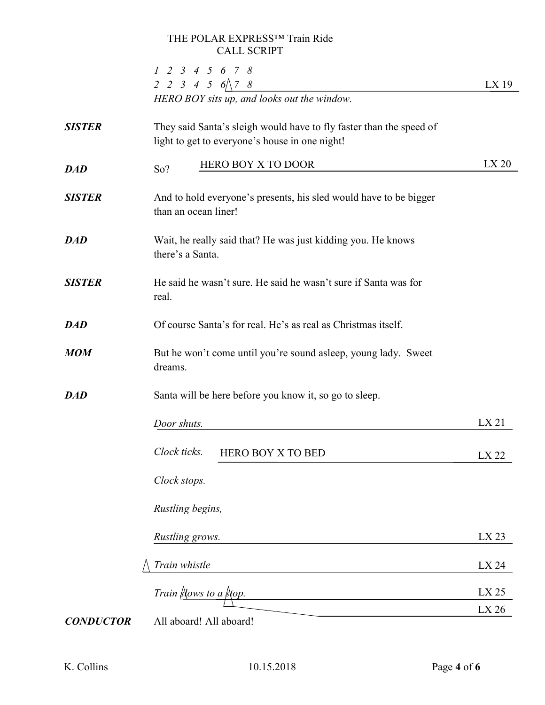|                  | $1\ 2\ 3\ 4\ 5\ 6\ 7\ 8$                                                                                              |                |
|------------------|-----------------------------------------------------------------------------------------------------------------------|----------------|
|                  | 2 2 3 4 5 $6 \wedge 7$ 8<br>HERO BOY sits up, and looks out the window.                                               | $LX$ 19        |
| <b>SISTER</b>    | They said Santa's sleigh would have to fly faster than the speed of<br>light to get to everyone's house in one night! |                |
| <b>DAD</b>       | <b>HERO BOY X TO DOOR</b><br>So?                                                                                      | LX20           |
| <b>SISTER</b>    | And to hold everyone's presents, his sled would have to be bigger<br>than an ocean liner!                             |                |
| <b>DAD</b>       | Wait, he really said that? He was just kidding you. He knows<br>there's a Santa.                                      |                |
| <b>SISTER</b>    | He said he wasn't sure. He said he wasn't sure if Santa was for<br>real.                                              |                |
| <b>DAD</b>       | Of course Santa's for real. He's as real as Christmas itself.                                                         |                |
| <b>MOM</b>       | But he won't come until you're sound asleep, young lady. Sweet<br>dreams.                                             |                |
| <b>DAD</b>       | Santa will be here before you know it, so go to sleep.                                                                |                |
|                  | Door shuts.                                                                                                           | LX21           |
|                  | Clock ticks.<br><b>HERO BOY X TO BED</b>                                                                              | LX 22          |
|                  | Clock stops.                                                                                                          |                |
|                  | Rustling begins,                                                                                                      |                |
|                  | Rustling grows.                                                                                                       | LX 23          |
|                  | Train whistle                                                                                                         | LX 24          |
|                  | Train Slows to a Stop.                                                                                                | LX 25<br>LX 26 |
| <b>CONDUCTOR</b> | All aboard! All aboard!                                                                                               |                |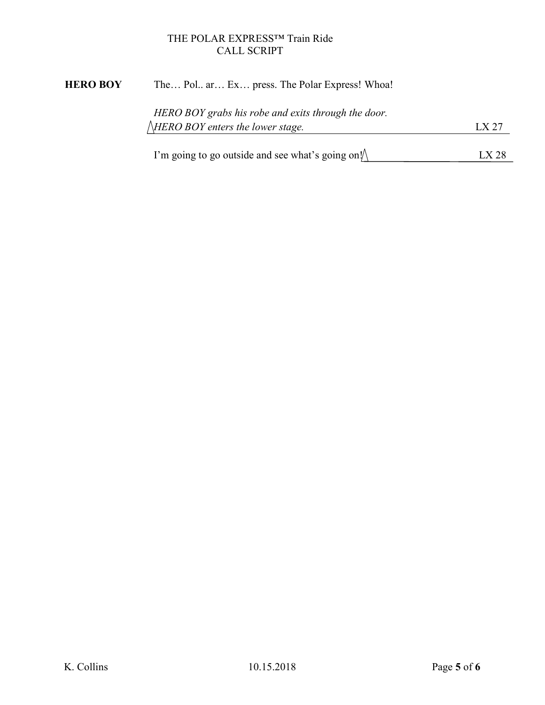# HERO BOY The... Pol.. ar... Ex... press. The Polar Express! Whoa!

| HERO BOY grabs his robe and exits through the door. |       |
|-----------------------------------------------------|-------|
| $\triangle$ HERO BOY enters the lower stage.        | LX 27 |
|                                                     |       |

I'm going to go outside and see what's going on! LX 28